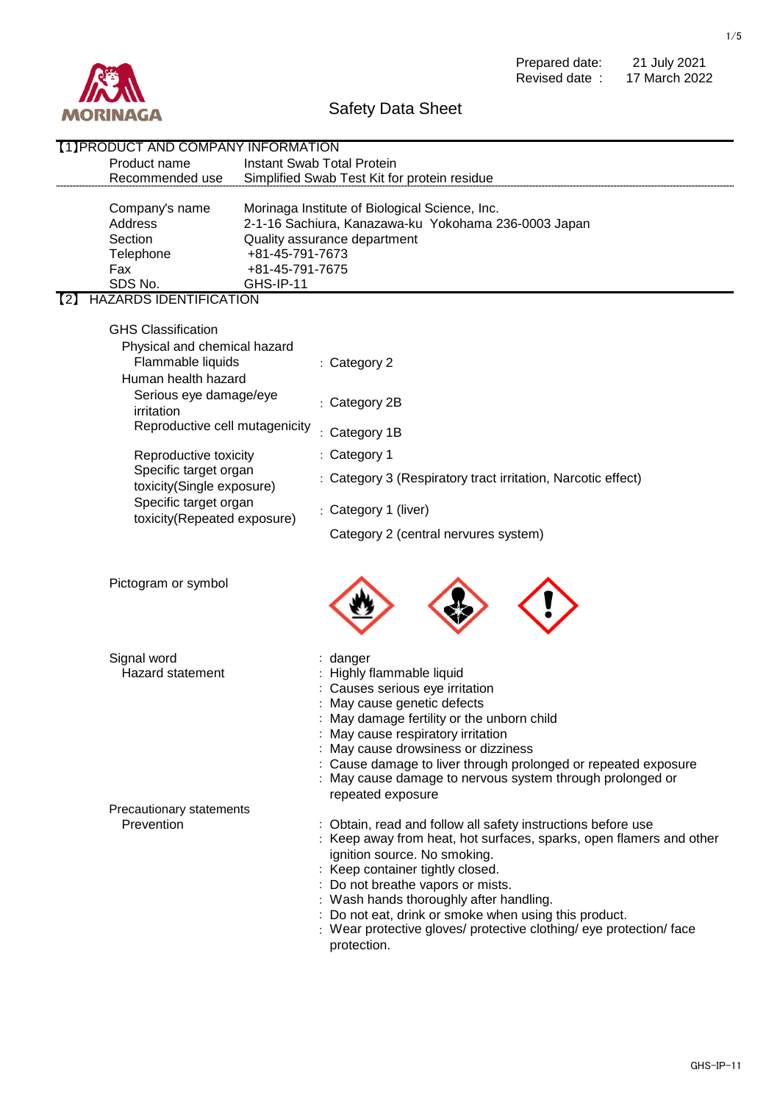

Prepared date: Revised date : 21 July 2021 17 March 2022

## Safety Data Sheet

| [1] PRODUCT AND COMPANY INFORMATION               |                                                                                                                              |  |  |  |
|---------------------------------------------------|------------------------------------------------------------------------------------------------------------------------------|--|--|--|
| Product name                                      | <b>Instant Swab Total Protein</b>                                                                                            |  |  |  |
| Recommended use                                   | Simplified Swab Test Kit for protein residue                                                                                 |  |  |  |
|                                                   |                                                                                                                              |  |  |  |
| Company's name                                    | Morinaga Institute of Biological Science, Inc.                                                                               |  |  |  |
| Address                                           | 2-1-16 Sachiura, Kanazawa-ku Yokohama 236-0003 Japan                                                                         |  |  |  |
| Section                                           | Quality assurance department                                                                                                 |  |  |  |
| Telephone                                         | +81-45-791-7673                                                                                                              |  |  |  |
| Fax                                               | +81-45-791-7675                                                                                                              |  |  |  |
| SDS No.<br><b>GHS-IP-11</b>                       |                                                                                                                              |  |  |  |
| <b>HAZARDS IDENTIFICATION</b><br>(2)              |                                                                                                                              |  |  |  |
| <b>GHS Classification</b>                         |                                                                                                                              |  |  |  |
|                                                   |                                                                                                                              |  |  |  |
| Physical and chemical hazard<br>Flammable liquids |                                                                                                                              |  |  |  |
|                                                   | : Category 2                                                                                                                 |  |  |  |
| Human health hazard                               |                                                                                                                              |  |  |  |
| Serious eye damage/eye                            | : Category 2B                                                                                                                |  |  |  |
| irritation                                        |                                                                                                                              |  |  |  |
| Reproductive cell mutagenicity                    | : Category 1B                                                                                                                |  |  |  |
| Reproductive toxicity                             | : Category 1                                                                                                                 |  |  |  |
| Specific target organ                             |                                                                                                                              |  |  |  |
| toxicity(Single exposure)                         | : Category 3 (Respiratory tract irritation, Narcotic effect)                                                                 |  |  |  |
| Specific target organ                             |                                                                                                                              |  |  |  |
| toxicity(Repeated exposure)                       | : Category 1 (liver)                                                                                                         |  |  |  |
|                                                   | Category 2 (central nervures system)                                                                                         |  |  |  |
| Pictogram or symbol                               |                                                                                                                              |  |  |  |
|                                                   |                                                                                                                              |  |  |  |
| Signal word                                       | : danger                                                                                                                     |  |  |  |
| Hazard statement                                  | : Highly flammable liquid                                                                                                    |  |  |  |
|                                                   | : Causes serious eye irritation                                                                                              |  |  |  |
|                                                   | : May cause genetic defects<br>: May damage fertility or the unborn child                                                    |  |  |  |
|                                                   | : May cause respiratory irritation                                                                                           |  |  |  |
|                                                   | : May cause drowsiness or dizziness                                                                                          |  |  |  |
|                                                   | : Cause damage to liver through prolonged or repeated exposure                                                               |  |  |  |
|                                                   | : May cause damage to nervous system through prolonged or                                                                    |  |  |  |
|                                                   | repeated exposure                                                                                                            |  |  |  |
| Precautionary statements                          |                                                                                                                              |  |  |  |
| Prevention                                        | : Obtain, read and follow all safety instructions before use                                                                 |  |  |  |
|                                                   | : Keep away from heat, hot surfaces, sparks, open flamers and other                                                          |  |  |  |
|                                                   | ignition source. No smoking.                                                                                                 |  |  |  |
|                                                   | : Keep container tightly closed.                                                                                             |  |  |  |
|                                                   | : Do not breathe vapors or mists.                                                                                            |  |  |  |
|                                                   | : Wash hands thoroughly after handling.                                                                                      |  |  |  |
|                                                   | : Do not eat, drink or smoke when using this product.<br>: Wear protective gloves/ protective clothing/ eye protection/ face |  |  |  |
|                                                   | protection.                                                                                                                  |  |  |  |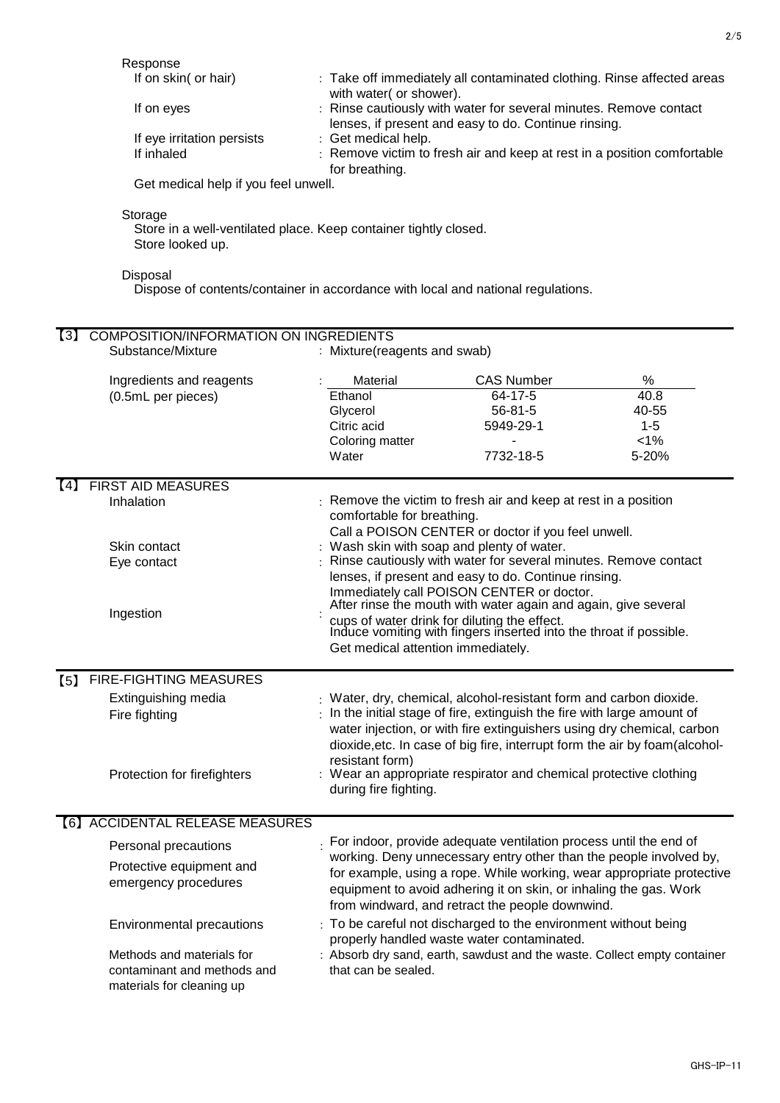Response

| If on skin( or hair)                | : Take off immediately all contaminated clothing. Rinse affected areas  |
|-------------------------------------|-------------------------------------------------------------------------|
|                                     | with water (or shower).                                                 |
| If on eyes                          | : Rinse cautiously with water for several minutes. Remove contact       |
|                                     | lenses, if present and easy to do. Continue rinsing.                    |
| If eye irritation persists          | : Get medical help.                                                     |
| If inhaled                          | : Remove victim to fresh air and keep at rest in a position comfortable |
|                                     | for breathing.                                                          |
| Cot modical hole if you fool unwall |                                                                         |

Get medical help if you feel unwell.

Storage

Store in a well-ventilated place. Keep container tightly closed. Store looked up.

Disposal

Dispose of contents/container in accordance with local and national regulations.

| $\left[3\right]$ | <b>COMPOSITION/INFORMATION ON INGREDIENTS</b><br>Substance/Mixture<br>: Mixture(reagents and swab) |                                                                   |                                                                                                                                         |                                                                              |         |  |
|------------------|----------------------------------------------------------------------------------------------------|-------------------------------------------------------------------|-----------------------------------------------------------------------------------------------------------------------------------------|------------------------------------------------------------------------------|---------|--|
|                  |                                                                                                    |                                                                   |                                                                                                                                         |                                                                              |         |  |
|                  | Ingredients and reagents                                                                           |                                                                   | Material                                                                                                                                | <b>CAS Number</b>                                                            | %       |  |
|                  | (0.5mL per pieces)                                                                                 |                                                                   | Ethanol                                                                                                                                 | 64-17-5                                                                      | 40.8    |  |
|                  |                                                                                                    |                                                                   | Glycerol                                                                                                                                | $56 - 81 - 5$                                                                | 40-55   |  |
|                  |                                                                                                    |                                                                   | Citric acid                                                                                                                             | 5949-29-1                                                                    | $1 - 5$ |  |
|                  |                                                                                                    |                                                                   | Coloring matter                                                                                                                         | $\blacksquare$                                                               | $< 1\%$ |  |
|                  |                                                                                                    |                                                                   | Water                                                                                                                                   | 7732-18-5                                                                    | 5-20%   |  |
| (4)              | <b>FIRST AID MEASURES</b>                                                                          |                                                                   |                                                                                                                                         |                                                                              |         |  |
|                  | Inhalation                                                                                         |                                                                   | comfortable for breathing.                                                                                                              | Remove the victim to fresh air and keep at rest in a position                |         |  |
|                  |                                                                                                    |                                                                   |                                                                                                                                         | Call a POISON CENTER or doctor if you feel unwell.                           |         |  |
|                  | Skin contact                                                                                       |                                                                   |                                                                                                                                         | : Wash skin with soap and plenty of water.                                   |         |  |
|                  | Eye contact                                                                                        |                                                                   |                                                                                                                                         | Rinse cautiously with water for several minutes. Remove contact              |         |  |
|                  |                                                                                                    |                                                                   |                                                                                                                                         | lenses, if present and easy to do. Continue rinsing.                         |         |  |
|                  |                                                                                                    |                                                                   |                                                                                                                                         | Immediately call POISON CENTER or doctor.                                    |         |  |
|                  |                                                                                                    |                                                                   |                                                                                                                                         | After rinse the mouth with water again and again, give several               |         |  |
|                  | Ingestion                                                                                          |                                                                   | cups of water drink for diluting the effect.<br>Induce vomiting with fingers inserted into the throat if possible.                      |                                                                              |         |  |
|                  |                                                                                                    |                                                                   |                                                                                                                                         |                                                                              |         |  |
|                  |                                                                                                    |                                                                   | Get medical attention immediately.                                                                                                      |                                                                              |         |  |
| (5)              | <b>FIRE-FIGHTING MEASURES</b>                                                                      |                                                                   |                                                                                                                                         |                                                                              |         |  |
|                  | Extinguishing media                                                                                |                                                                   |                                                                                                                                         | : Water, dry, chemical, alcohol-resistant form and carbon dioxide.           |         |  |
|                  | Fire fighting                                                                                      |                                                                   |                                                                                                                                         | $\pm$ In the initial stage of fire, extinguish the fire with large amount of |         |  |
|                  |                                                                                                    |                                                                   |                                                                                                                                         | water injection, or with fire extinguishers using dry chemical, carbon       |         |  |
|                  |                                                                                                    |                                                                   |                                                                                                                                         | dioxide, etc. In case of big fire, interrupt form the air by foam(alcohol-   |         |  |
|                  |                                                                                                    |                                                                   | resistant form)                                                                                                                         |                                                                              |         |  |
|                  | Protection for firefighters                                                                        |                                                                   |                                                                                                                                         | : Wear an appropriate respirator and chemical protective clothing            |         |  |
|                  |                                                                                                    |                                                                   | during fire fighting.                                                                                                                   |                                                                              |         |  |
|                  | [6] ACCIDENTAL RELEASE MEASURES                                                                    |                                                                   |                                                                                                                                         |                                                                              |         |  |
|                  |                                                                                                    |                                                                   |                                                                                                                                         |                                                                              |         |  |
|                  | Personal precautions                                                                               |                                                                   | For indoor, provide adequate ventilation process until the end of<br>working. Deny unnecessary entry other than the people involved by, |                                                                              |         |  |
|                  | Protective equipment and                                                                           |                                                                   | for example, using a rope. While working, wear appropriate protective                                                                   |                                                                              |         |  |
|                  | emergency procedures                                                                               | equipment to avoid adhering it on skin, or inhaling the gas. Work |                                                                                                                                         |                                                                              |         |  |
|                  |                                                                                                    |                                                                   |                                                                                                                                         | from windward, and retract the people downwind.                              |         |  |
|                  | Environmental precautions                                                                          |                                                                   |                                                                                                                                         | : To be careful not discharged to the environment without being              |         |  |
|                  |                                                                                                    |                                                                   |                                                                                                                                         | properly handled waste water contaminated.                                   |         |  |
|                  | Methods and materials for                                                                          |                                                                   |                                                                                                                                         | : Absorb dry sand, earth, sawdust and the waste. Collect empty container     |         |  |
|                  | contaminant and methods and                                                                        |                                                                   | that can be sealed.                                                                                                                     |                                                                              |         |  |
|                  | materials for cleaning up                                                                          |                                                                   |                                                                                                                                         |                                                                              |         |  |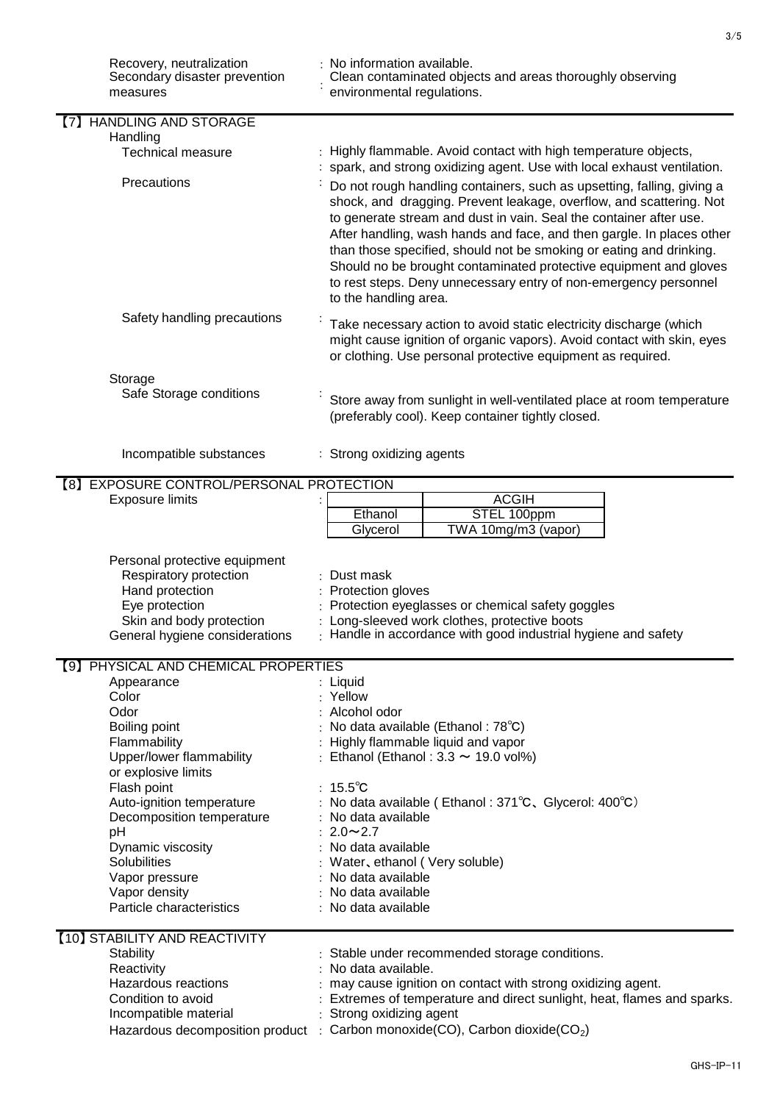| Recovery, neutralization<br>Secondary disaster prevention<br>measures | : No information available.<br>Clean contaminated objects and areas thoroughly observing<br>environmental regulations.                                                                                                                                                                                                                                                                                                                                                                                                                |  |
|-----------------------------------------------------------------------|---------------------------------------------------------------------------------------------------------------------------------------------------------------------------------------------------------------------------------------------------------------------------------------------------------------------------------------------------------------------------------------------------------------------------------------------------------------------------------------------------------------------------------------|--|
| <b>HANDLING AND STORAGE</b><br>(7)                                    |                                                                                                                                                                                                                                                                                                                                                                                                                                                                                                                                       |  |
| Handling                                                              |                                                                                                                                                                                                                                                                                                                                                                                                                                                                                                                                       |  |
| <b>Technical measure</b>                                              | Highly flammable. Avoid contact with high temperature objects,<br>spark, and strong oxidizing agent. Use with local exhaust ventilation.                                                                                                                                                                                                                                                                                                                                                                                              |  |
| Precautions                                                           | Do not rough handling containers, such as upsetting, falling, giving a<br>shock, and dragging. Prevent leakage, overflow, and scattering. Not<br>to generate stream and dust in vain. Seal the container after use.<br>After handling, wash hands and face, and then gargle. In places other<br>than those specified, should not be smoking or eating and drinking.<br>Should no be brought contaminated protective equipment and gloves<br>to rest steps. Deny unnecessary entry of non-emergency personnel<br>to the handling area. |  |
| Safety handling precautions                                           | Take necessary action to avoid static electricity discharge (which<br>might cause ignition of organic vapors). Avoid contact with skin, eyes<br>or clothing. Use personal protective equipment as required.                                                                                                                                                                                                                                                                                                                           |  |
| Storage                                                               |                                                                                                                                                                                                                                                                                                                                                                                                                                                                                                                                       |  |
| Safe Storage conditions                                               | Store away from sunlight in well-ventilated place at room temperature<br>(preferably cool). Keep container tightly closed.                                                                                                                                                                                                                                                                                                                                                                                                            |  |
| Incompatible substances                                               | Strong oxidizing agents                                                                                                                                                                                                                                                                                                                                                                                                                                                                                                               |  |
| [8] EXPOSURE CONTROL/PERSONAL PROTECTION                              |                                                                                                                                                                                                                                                                                                                                                                                                                                                                                                                                       |  |
| <b>Exposure limits</b>                                                | <b>ACGIH</b>                                                                                                                                                                                                                                                                                                                                                                                                                                                                                                                          |  |
|                                                                       | Ethanol<br>STEL 100ppm                                                                                                                                                                                                                                                                                                                                                                                                                                                                                                                |  |
|                                                                       | Glycerol<br>TWA 10mg/m3 (vapor)                                                                                                                                                                                                                                                                                                                                                                                                                                                                                                       |  |
|                                                                       |                                                                                                                                                                                                                                                                                                                                                                                                                                                                                                                                       |  |
| Personal protective equipment                                         |                                                                                                                                                                                                                                                                                                                                                                                                                                                                                                                                       |  |
| Respiratory protection                                                | : Dust mask                                                                                                                                                                                                                                                                                                                                                                                                                                                                                                                           |  |
| Hand protection<br>Eye protection                                     | : Protection gloves<br>Protection eyeglasses or chemical safety goggles                                                                                                                                                                                                                                                                                                                                                                                                                                                               |  |
| Skin and body protection                                              | Long-sleeved work clothes, protective boots                                                                                                                                                                                                                                                                                                                                                                                                                                                                                           |  |
| General hygiene considerations                                        | Handle in accordance with good industrial hygiene and safety                                                                                                                                                                                                                                                                                                                                                                                                                                                                          |  |
|                                                                       |                                                                                                                                                                                                                                                                                                                                                                                                                                                                                                                                       |  |
| [9] PHYSICAL AND CHEMICAL PROPERTIES                                  |                                                                                                                                                                                                                                                                                                                                                                                                                                                                                                                                       |  |
| Appearance                                                            | : Liquid                                                                                                                                                                                                                                                                                                                                                                                                                                                                                                                              |  |
| Color                                                                 | : Yellow                                                                                                                                                                                                                                                                                                                                                                                                                                                                                                                              |  |
| Odor                                                                  | Alcohol odor                                                                                                                                                                                                                                                                                                                                                                                                                                                                                                                          |  |
| Boiling point                                                         | No data available (Ethanol: 78°C)                                                                                                                                                                                                                                                                                                                                                                                                                                                                                                     |  |
| Flammability                                                          | Highly flammable liquid and vapor                                                                                                                                                                                                                                                                                                                                                                                                                                                                                                     |  |
| Upper/lower flammability<br>or explosive limits                       | Ethanol (Ethanol: $3.3 \sim 19.0$ vol%)<br>÷                                                                                                                                                                                                                                                                                                                                                                                                                                                                                          |  |
| Flash point                                                           | : $15.5^{\circ}$ C                                                                                                                                                                                                                                                                                                                                                                                                                                                                                                                    |  |
| Auto-ignition temperature                                             | : No data available (Ethanol: 371°C, Glycerol: 400°C)                                                                                                                                                                                                                                                                                                                                                                                                                                                                                 |  |
| Decomposition temperature                                             | No data available                                                                                                                                                                                                                                                                                                                                                                                                                                                                                                                     |  |
| pH                                                                    | $2.0 \sim 2.7$                                                                                                                                                                                                                                                                                                                                                                                                                                                                                                                        |  |
| Dynamic viscosity                                                     | No data available                                                                                                                                                                                                                                                                                                                                                                                                                                                                                                                     |  |
| Solubilities                                                          | Water, ethanol (Very soluble)                                                                                                                                                                                                                                                                                                                                                                                                                                                                                                         |  |
| Vapor pressure                                                        | No data available                                                                                                                                                                                                                                                                                                                                                                                                                                                                                                                     |  |
| Vapor density                                                         | No data available                                                                                                                                                                                                                                                                                                                                                                                                                                                                                                                     |  |
| Particle characteristics                                              | : No data available                                                                                                                                                                                                                                                                                                                                                                                                                                                                                                                   |  |
| [10] STABILITY AND REACTIVITY                                         |                                                                                                                                                                                                                                                                                                                                                                                                                                                                                                                                       |  |
| <b>Stability</b>                                                      | Stable under recommended storage conditions.                                                                                                                                                                                                                                                                                                                                                                                                                                                                                          |  |
| Reactivity                                                            | No data available.                                                                                                                                                                                                                                                                                                                                                                                                                                                                                                                    |  |
| <b>Hazardous reactions</b>                                            | may cause ignition on contact with strong oxidizing agent.                                                                                                                                                                                                                                                                                                                                                                                                                                                                            |  |
| Condition to avoid                                                    | Extremes of temperature and direct sunlight, heat, flames and sparks.                                                                                                                                                                                                                                                                                                                                                                                                                                                                 |  |
| Incompatible material                                                 | Strong oxidizing agent                                                                                                                                                                                                                                                                                                                                                                                                                                                                                                                |  |
| Hazardous decomposition product :                                     | Carbon monoxide(CO), Carbon dioxide(CO <sub>2</sub> )                                                                                                                                                                                                                                                                                                                                                                                                                                                                                 |  |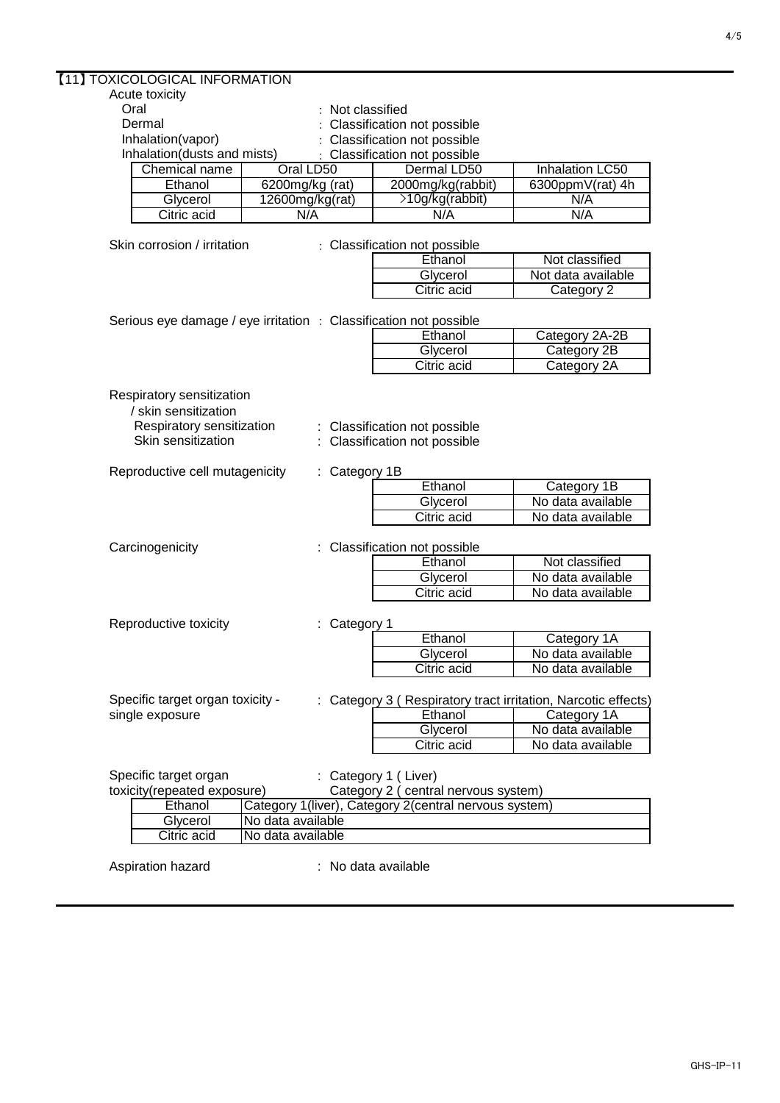| [11] TOXICOLOGICAL INFORMATION                                    |                   |                                                                |                        |
|-------------------------------------------------------------------|-------------------|----------------------------------------------------------------|------------------------|
| Acute toxicity                                                    |                   |                                                                |                        |
| Oral                                                              | : Not classified  |                                                                |                        |
| Dermal                                                            |                   | Classification not possible                                    |                        |
| Inhalation(vapor)                                                 |                   | Classification not possible                                    |                        |
| Inhalation(dusts and mists)                                       |                   | Classification not possible                                    |                        |
| <b>Chemical name</b>                                              | Oral LD50         | Dermal LD50                                                    | <b>Inhalation LC50</b> |
| Ethanol                                                           | 6200mg/kg (rat)   | 2000mg/kg(rabbit)                                              | 6300ppmV(rat) 4h       |
| Glycerol                                                          | 12600mg/kg(rat)   | >10g/kg(rabbit)                                                | N/A                    |
| Citric acid                                                       | N/A               | N/A                                                            | N/A                    |
|                                                                   |                   |                                                                |                        |
| Skin corrosion / irritation                                       |                   | : Classification not possible                                  |                        |
|                                                                   |                   | Ethanol                                                        | Not classified         |
|                                                                   |                   | Glycerol                                                       | Not data available     |
|                                                                   |                   | <b>Citric acid</b>                                             | Category 2             |
| Serious eye damage / eye irritation : Classification not possible |                   |                                                                |                        |
|                                                                   |                   | Ethanol                                                        | Category 2A-2B         |
|                                                                   |                   | Glycerol                                                       | Category 2B            |
|                                                                   |                   | Citric acid                                                    | Category 2A            |
|                                                                   |                   |                                                                |                        |
| Respiratory sensitization                                         |                   |                                                                |                        |
| / skin sensitization                                              |                   |                                                                |                        |
| Respiratory sensitization                                         |                   | : Classification not possible                                  |                        |
| Skin sensitization                                                |                   | : Classification not possible                                  |                        |
|                                                                   |                   |                                                                |                        |
| Reproductive cell mutagenicity                                    | : Category 1B     |                                                                |                        |
|                                                                   |                   | Ethanol                                                        | Category <sub>1B</sub> |
|                                                                   |                   | Glycerol                                                       | No data available      |
|                                                                   |                   | <b>Citric acid</b>                                             | No data available      |
|                                                                   |                   |                                                                |                        |
| Carcinogenicity                                                   |                   | : Classification not possible                                  |                        |
|                                                                   |                   | Ethanol                                                        | Not classified         |
|                                                                   |                   | Glycerol                                                       | No data available      |
|                                                                   |                   | Citric acid                                                    | No data available      |
|                                                                   |                   |                                                                |                        |
| Reproductive toxicity                                             | Category 1        |                                                                |                        |
|                                                                   |                   | Ethanol                                                        | Category 1A            |
|                                                                   |                   | Glycerol                                                       | No data available      |
|                                                                   |                   | <b>Citric acid</b>                                             | No data available      |
|                                                                   |                   |                                                                |                        |
| Specific target organ toxicity -                                  |                   | : Category 3 ( Respiratory tract irritation, Narcotic effects) |                        |
| single exposure                                                   |                   | Ethanol                                                        | Category 1A            |
|                                                                   |                   | Glycerol                                                       | No data available      |
|                                                                   |                   | Citric acid                                                    | No data available      |
|                                                                   |                   |                                                                |                        |
| Specific target organ                                             |                   | : Category 1 (Liver)                                           |                        |
| toxicity(repeated exposure)                                       |                   | Category 2 ( central nervous system)                           |                        |
| Ethanol                                                           |                   | Category 1(liver), Category 2(central nervous system)          |                        |
| Glycerol                                                          | No data available |                                                                |                        |
| Citric acid                                                       | No data available |                                                                |                        |
| Aspiration hazard                                                 |                   | : No data available                                            |                        |
|                                                                   |                   |                                                                |                        |